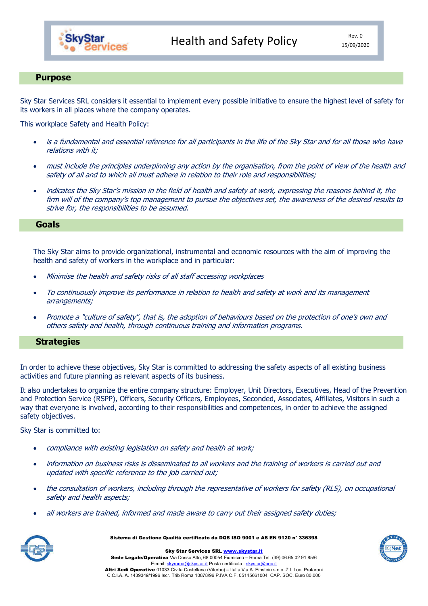

## Purpose

Sky Star Services SRL considers it essential to implement every possible initiative to ensure the highest level of safety for its workers in all places where the company operates.

This workplace Safety and Health Policy:

- is a fundamental and essential reference for all participants in the life of the Sky Star and for all those who have relations with it;
- must include the principles underpinning any action by the organisation, from the point of view of the health and safety of all and to which all must adhere in relation to their role and responsibilities;
- indicates the Sky Star's mission in the field of health and safety at work, expressing the reasons behind it, the firm will of the company's top management to pursue the objectives set, the awareness of the desired results to strive for, the responsibilities to be assumed.

## Goals

The Sky Star aims to provide organizational, instrumental and economic resources with the aim of improving the health and safety of workers in the workplace and in particular:

- Minimise the health and safety risks of all staff accessing workplaces
- To continuously improve its performance in relation to health and safety at work and its management arrangements;
- Promote a "culture of safety", that is, the adoption of behaviours based on the protection of one's own and others safety and health, through continuous training and information programs.

## **Strategies**

In order to achieve these objectives, Sky Star is committed to addressing the safety aspects of all existing business activities and future planning as relevant aspects of its business.

It also undertakes to organize the entire company structure: Employer, Unit Directors, Executives, Head of the Prevention and Protection Service (RSPP), Officers, Security Officers, Employees, Seconded, Associates, Affiliates, Visitors in such a way that everyone is involved, according to their responsibilities and competences, in order to achieve the assigned safety objectives.

Sky Star is committed to:

- compliance with existing legislation on safety and health at work;
- information on business risks is disseminated to all workers and the training of workers is carried out and updated with specific reference to the job carried out;
- the consultation of workers, including through the representative of workers for safety (RLS), on occupational safety and health aspects;
- all workers are trained, informed and made aware to carry out their assigned safety duties;



Sistema di Gestione Qualità certificato da DQS ISO 9001 e AS EN 9120 n° 336398